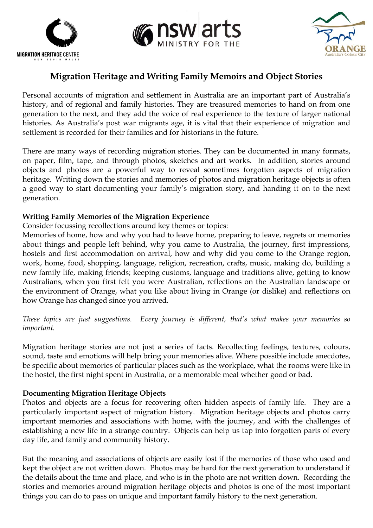





# **Migration Heritage and Writing Family Memoirs and Object Stories**

Personal accounts of migration and settlement in Australia are an important part of Australia's history, and of regional and family histories. They are treasured memories to hand on from one generation to the next, and they add the voice of real experience to the texture of larger national histories. As Australia's post war migrants age, it is vital that their experience of migration and settlement is recorded for their families and for historians in the future.

There are many ways of recording migration stories. They can be documented in many formats, on paper, film, tape, and through photos, sketches and art works. In addition, stories around objects and photos are a powerful way to reveal sometimes forgotten aspects of migration heritage. Writing down the stories and memories of photos and migration heritage objects is often a good way to start documenting your family's migration story, and handing it on to the next generation.

## **Writing Family Memories of the Migration Experience**

Consider focussing recollections around key themes or topics:

Memories of home, how and why you had to leave home, preparing to leave, regrets or memories about things and people left behind, why you came to Australia, the journey, first impressions, hostels and first accommodation on arrival, how and why did you come to the Orange region, work, home, food, shopping, language, religion, recreation, crafts, music, making do, building a new family life, making friends; keeping customs, language and traditions alive, getting to know Australians, when you first felt you were Australian, reflections on the Australian landscape or the environment of Orange, what you like about living in Orange (or dislike) and reflections on how Orange has changed since you arrived.

*These topics are just suggestions. Every journey is different, that's what makes your memories so important.*

Migration heritage stories are not just a series of facts. Recollecting feelings, textures, colours, sound, taste and emotions will help bring your memories alive. Where possible include anecdotes, be specific about memories of particular places such as the workplace, what the rooms were like in the hostel, the first night spent in Australia, or a memorable meal whether good or bad.

## **Documenting Migration Heritage Objects**

Photos and objects are a focus for recovering often hidden aspects of family life. They are a particularly important aspect of migration history. Migration heritage objects and photos carry important memories and associations with home, with the journey, and with the challenges of establishing a new life in a strange country. Objects can help us tap into forgotten parts of every day life, and family and community history.

But the meaning and associations of objects are easily lost if the memories of those who used and kept the object are not written down. Photos may be hard for the next generation to understand if the details about the time and place, and who is in the photo are not written down. Recording the stories and memories around migration heritage objects and photos is one of the most important things you can do to pass on unique and important family history to the next generation.